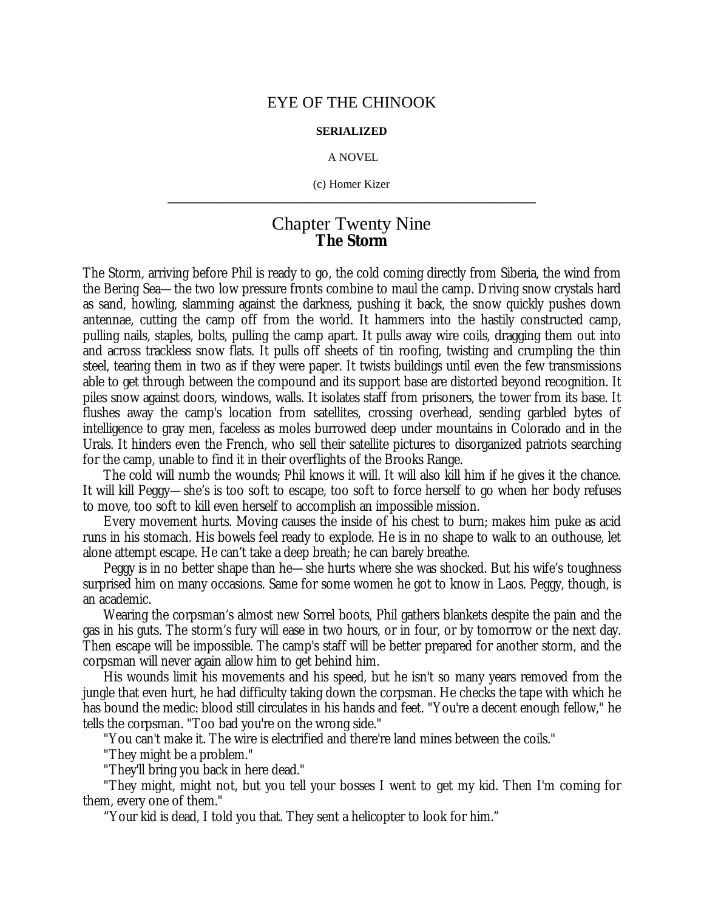## EYE OF THE CHINOOK

## **SERIALIZED**

## A NOVEL

(c) Homer Kizer **\_\_\_\_\_\_\_\_\_\_\_\_\_\_\_\_\_\_\_\_\_\_\_\_\_\_\_\_\_\_\_\_\_\_\_\_\_\_\_\_\_\_\_\_\_\_\_\_\_\_\_\_\_\_\_\_\_\_\_\_\_\_\_\_**

## Chapter Twenty Nine **The Storm**

The Storm, arriving before Phil is ready to go, the cold coming directly from Siberia, the wind from the Bering Sea— the two low pressure fronts combine to maul the camp. Driving snow crystals hard as sand, howling, slamming against the darkness, pushing it back, the snow quickly pushes down antennae, cutting the camp off from the world. It hammers into the hastily constructed camp, pulling nails, staples, bolts, pulling the camp apart. It pulls away wire coils, dragging them out into and across trackless snow flats. It pulls off sheets of tin roofing, twisting and crumpling the thin steel, tearing them in two as if they were paper. It twists buildings until even the few transmissions able to get through between the compound and its support base are distorted beyond recognition. It piles snow against doors, windows, walls. It isolates staff from prisoners, the tower from its base. It flushes away the camp's location from satellites, crossing overhead, sending garbled bytes of intelligence to gray men, faceless as moles burrowed deep under mountains in Colorado and in the Urals. It hinders even the French, who sell their satellite pictures to disorganized patriots searching for the camp, unable to find it in their overflights of the Brooks Range.

The cold will numb the wounds; Phil knows it will. It will also kill him if he gives it the chance. It will kill Peggy— she's is too soft to escape, too soft to force herself to go when her body refuses to move, too soft to kill even herself to accomplish an impossible mission.

Every movement hurts. Moving causes the inside of his chest to burn; makes him puke as acid runs in his stomach. His bowels feel ready to explode. He is in no shape to walk to an outhouse, let alone attempt escape. He can't take a deep breath; he can barely breathe.

Peggy is in no better shape than he— she hurts where she was shocked. But his wife's toughness surprised him on many occasions. Same for some women he got to know in Laos. Peggy, though, is an academic.

Wearing the corpsman's almost new Sorrel boots, Phil gathers blankets despite the pain and the gas in his guts. The storm's fury will ease in two hours, or in four, or by tomorrow or the next day. Then escape will be impossible. The camp's staff will be better prepared for another storm, and the corpsman will never again allow him to get behind him.

His wounds limit his movements and his speed, but he isn't so many years removed from the jungle that even hurt, he had difficulty taking down the corpsman. He checks the tape with which he has bound the medic: blood still circulates in his hands and feet. "You're a decent enough fellow," he tells the corpsman. "Too bad you're on the wrong side."

"You can't make it. The wire is electrified and there're land mines between the coils."

"They might be a problem."

"They'll bring you back in here dead."

"They might, might not, but you tell your bosses I went to get my kid. Then I'm coming for them, every one of them."

"Your kid is dead, I told you that. They sent a helicopter to look for him."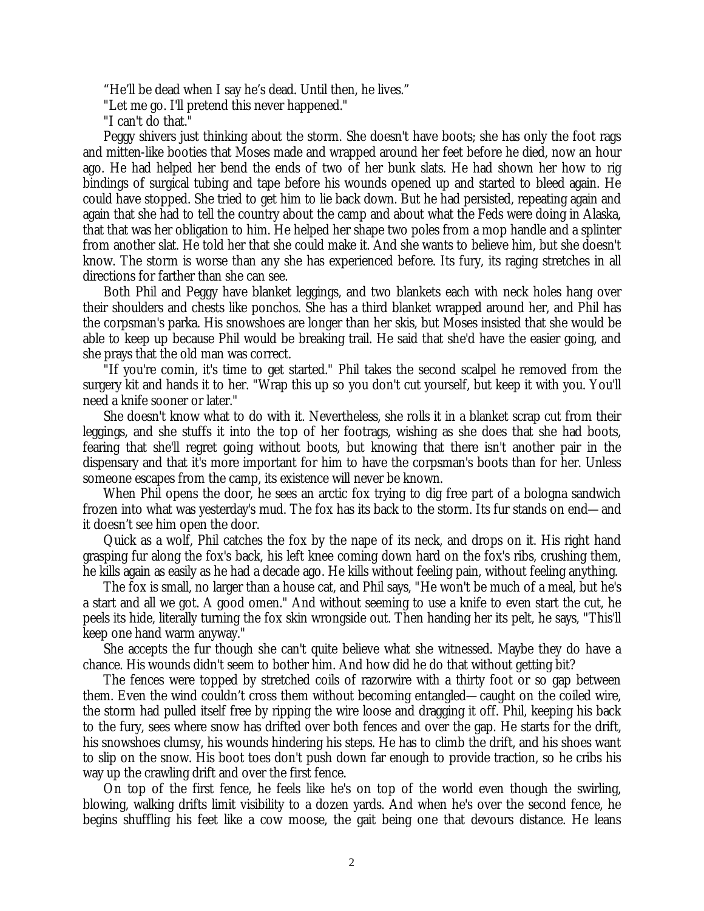"He'll be dead when I say he's dead. Until then, he lives."

"Let me go. I'll pretend this never happened."

"I can't do that."

Peggy shivers just thinking about the storm. She doesn't have boots; she has only the foot rags and mitten-like booties that Moses made and wrapped around her feet before he died, now an hour ago. He had helped her bend the ends of two of her bunk slats. He had shown her how to rig bindings of surgical tubing and tape before his wounds opened up and started to bleed again. He could have stopped. She tried to get him to lie back down. But he had persisted, repeating again and again that she had to tell the country about the camp and about what the Feds were doing in Alaska, that that was her obligation to him. He helped her shape two poles from a mop handle and a splinter from another slat. He told her that she could make it. And she wants to believe him, but she doesn't know. The storm is worse than any she has experienced before. Its fury, its raging stretches in all directions for farther than she can see.

Both Phil and Peggy have blanket leggings, and two blankets each with neck holes hang over their shoulders and chests like ponchos. She has a third blanket wrapped around her, and Phil has the corpsman's parka. His snowshoes are longer than her skis, but Moses insisted that she would be able to keep up because Phil would be breaking trail. He said that she'd have the easier going, and she prays that the old man was correct.

"If you're comin, it's time to get started." Phil takes the second scalpel he removed from the surgery kit and hands it to her. "Wrap this up so you don't cut yourself, but keep it with you. You'll need a knife sooner or later."

She doesn't know what to do with it. Nevertheless, she rolls it in a blanket scrap cut from their leggings, and she stuffs it into the top of her footrags, wishing as she does that she had boots, fearing that she'll regret going without boots, but knowing that there isn't another pair in the dispensary and that it's more important for him to have the corpsman's boots than for her. Unless someone escapes from the camp, its existence will never be known.

When Phil opens the door, he sees an arctic fox trying to dig free part of a bologna sandwich frozen into what was yesterday's mud. The fox has its back to the storm. Its fur stands on end— and it doesn't see him open the door.

Quick as a wolf, Phil catches the fox by the nape of its neck, and drops on it. His right hand grasping fur along the fox's back, his left knee coming down hard on the fox's ribs, crushing them, he kills again as easily as he had a decade ago. He kills without feeling pain, without feeling anything.

The fox is small, no larger than a house cat, and Phil says, "He won't be much of a meal, but he's a start and all we got. A good omen." And without seeming to use a knife to even start the cut, he peels its hide, literally turning the fox skin wrongside out. Then handing her its pelt, he says, "This'll keep one hand warm anyway."

She accepts the fur though she can't quite believe what she witnessed. Maybe they do have a chance. His wounds didn't seem to bother him. And how did he do that without getting bit?

The fences were topped by stretched coils of razorwire with a thirty foot or so gap between them. Even the wind couldn't cross them without becoming entangled— caught on the coiled wire, the storm had pulled itself free by ripping the wire loose and dragging it off. Phil, keeping his back to the fury, sees where snow has drifted over both fences and over the gap. He starts for the drift, his snowshoes clumsy, his wounds hindering his steps. He has to climb the drift, and his shoes want to slip on the snow. His boot toes don't push down far enough to provide traction, so he cribs his way up the crawling drift and over the first fence.

On top of the first fence, he feels like he's on top of the world even though the swirling, blowing, walking drifts limit visibility to a dozen yards. And when he's over the second fence, he begins shuffling his feet like a cow moose, the gait being one that devours distance. He leans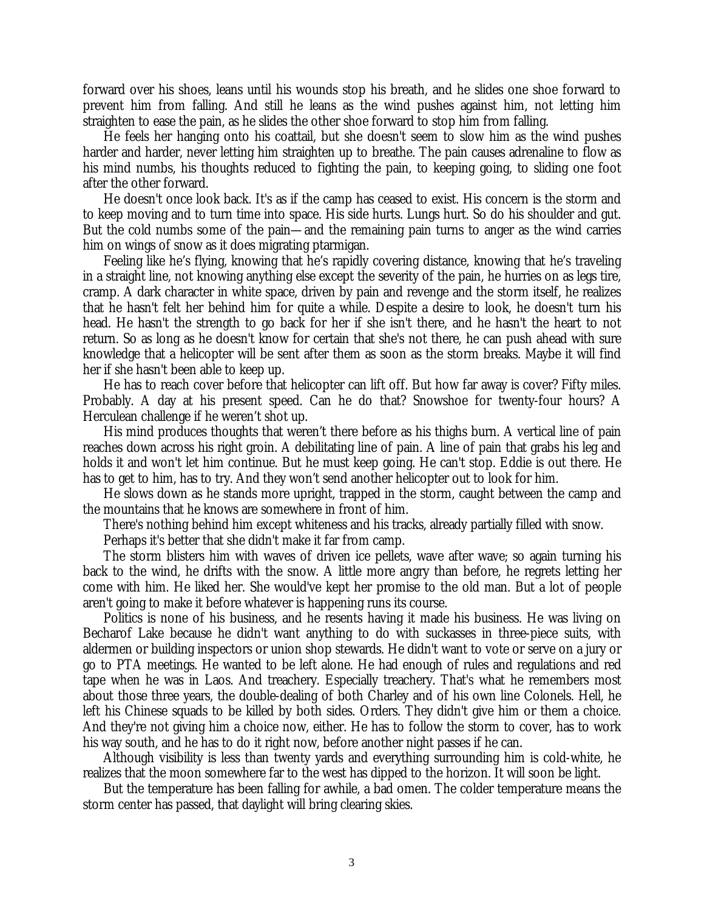forward over his shoes, leans until his wounds stop his breath, and he slides one shoe forward to prevent him from falling. And still he leans as the wind pushes against him, not letting him straighten to ease the pain, as he slides the other shoe forward to stop him from falling.

He feels her hanging onto his coattail, but she doesn't seem to slow him as the wind pushes harder and harder, never letting him straighten up to breathe. The pain causes adrenaline to flow as his mind numbs, his thoughts reduced to fighting the pain, to keeping going, to sliding one foot after the other forward.

He doesn't once look back. It's as if the camp has ceased to exist. His concern is the storm and to keep moving and to turn time into space. His side hurts. Lungs hurt. So do his shoulder and gut. But the cold numbs some of the pain— and the remaining pain turns to anger as the wind carries him on wings of snow as it does migrating ptarmigan.

Feeling like he's flying, knowing that he's rapidly covering distance, knowing that he's traveling in a straight line, not knowing anything else except the severity of the pain, he hurries on as legs tire, cramp. A dark character in white space, driven by pain and revenge and the storm itself, he realizes that he hasn't felt her behind him for quite a while. Despite a desire to look, he doesn't turn his head. He hasn't the strength to go back for her if she isn't there, and he hasn't the heart to not return. So as long as he doesn't know for certain that she's not there, he can push ahead with sure knowledge that a helicopter will be sent after them as soon as the storm breaks. Maybe it will find her if she hasn't been able to keep up.

He has to reach cover before that helicopter can lift off. But how far away is cover? Fifty miles. Probably. A day at his present speed. Can he do that? Snowshoe for twenty-four hours? A Herculean challenge if he weren't shot up.

His mind produces thoughts that weren't there before as his thighs burn. A vertical line of pain reaches down across his right groin. A debilitating line of pain. A line of pain that grabs his leg and holds it and won't let him continue. But he must keep going. He can't stop. Eddie is out there. He has to get to him, has to try. And they won't send another helicopter out to look for him.

He slows down as he stands more upright, trapped in the storm, caught between the camp and the mountains that he knows are somewhere in front of him.

There's nothing behind him except whiteness and his tracks, already partially filled with snow.

Perhaps it's better that she didn't make it far from camp.

The storm blisters him with waves of driven ice pellets, wave after wave; so again turning his back to the wind, he drifts with the snow. A little more angry than before, he regrets letting her come with him. He liked her. She would've kept her promise to the old man. But a lot of people aren't going to make it before whatever is happening runs its course.

Politics is none of his business, and he resents having it made his business. He was living on Becharof Lake because he didn't want anything to do with suckasses in three-piece suits, with aldermen or building inspectors or union shop stewards. He didn't want to vote or serve on a jury or go to PTA meetings. He wanted to be left alone. He had enough of rules and regulations and red tape when he was in Laos. And treachery. Especially treachery. That's what he remembers most about those three years, the double-dealing of both Charley and of his own line Colonels. Hell, he left his Chinese squads to be killed by both sides. Orders. They didn't give him or them a choice. And they're not giving him a choice now, either. He has to follow the storm to cover, has to work his way south, and he has to do it right now, before another night passes if he can.

Although visibility is less than twenty yards and everything surrounding him is cold-white, he realizes that the moon somewhere far to the west has dipped to the horizon. It will soon be light.

But the temperature has been falling for awhile, a bad omen. The colder temperature means the storm center has passed, that daylight will bring clearing skies.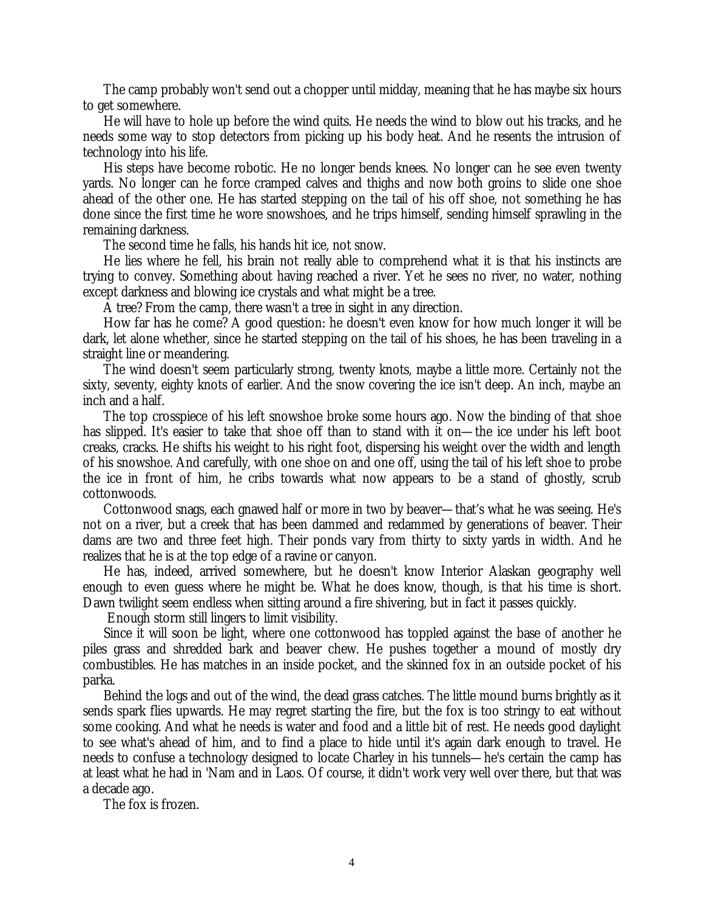The camp probably won't send out a chopper until midday, meaning that he has maybe six hours to get somewhere.

He will have to hole up before the wind quits. He needs the wind to blow out his tracks, and he needs some way to stop detectors from picking up his body heat. And he resents the intrusion of technology into his life.

His steps have become robotic. He no longer bends knees. No longer can he see even twenty yards. No longer can he force cramped calves and thighs and now both groins to slide one shoe ahead of the other one. He has started stepping on the tail of his off shoe, not something he has done since the first time he wore snowshoes, and he trips himself, sending himself sprawling in the remaining darkness.

The second time he falls, his hands hit ice, not snow.

He lies where he fell, his brain not really able to comprehend what it is that his instincts are trying to convey. Something about having reached a river. Yet he sees no river, no water, nothing except darkness and blowing ice crystals and what might be a tree.

A tree? From the camp, there wasn't a tree in sight in any direction.

How far has he come? A good question: he doesn't even know for how much longer it will be dark, let alone whether, since he started stepping on the tail of his shoes, he has been traveling in a straight line or meandering.

The wind doesn't seem particularly strong, twenty knots, maybe a little more. Certainly not the sixty, seventy, eighty knots of earlier. And the snow covering the ice isn't deep. An inch, maybe an inch and a half.

The top crosspiece of his left snowshoe broke some hours ago. Now the binding of that shoe has slipped. It's easier to take that shoe off than to stand with it on— the ice under his left boot creaks, cracks. He shifts his weight to his right foot, dispersing his weight over the width and length of his snowshoe. And carefully, with one shoe on and one off, using the tail of his left shoe to probe the ice in front of him, he cribs towards what now appears to be a stand of ghostly, scrub cottonwoods.

Cottonwood snags, each gnawed half or more in two by beaver— that's what he was seeing. He's not on a river, but a creek that has been dammed and redammed by generations of beaver. Their dams are two and three feet high. Their ponds vary from thirty to sixty yards in width. And he realizes that he is at the top edge of a ravine or canyon.

He has, indeed, arrived somewhere, but he doesn't know Interior Alaskan geography well enough to even guess where he might be. What he does know, though, is that his time is short. Dawn twilight seem endless when sitting around a fire shivering, but in fact it passes quickly.

Enough storm still lingers to limit visibility.

Since it will soon be light, where one cottonwood has toppled against the base of another he piles grass and shredded bark and beaver chew. He pushes together a mound of mostly dry combustibles. He has matches in an inside pocket, and the skinned fox in an outside pocket of his parka.

Behind the logs and out of the wind, the dead grass catches. The little mound burns brightly as it sends spark flies upwards. He may regret starting the fire, but the fox is too stringy to eat without some cooking. And what he needs is water and food and a little bit of rest. He needs good daylight to see what's ahead of him, and to find a place to hide until it's again dark enough to travel. He needs to confuse a technology designed to locate Charley in his tunnels— he's certain the camp has at least what he had in 'Nam and in Laos. Of course, it didn't work very well over there, but that was a decade ago.

The fox is frozen.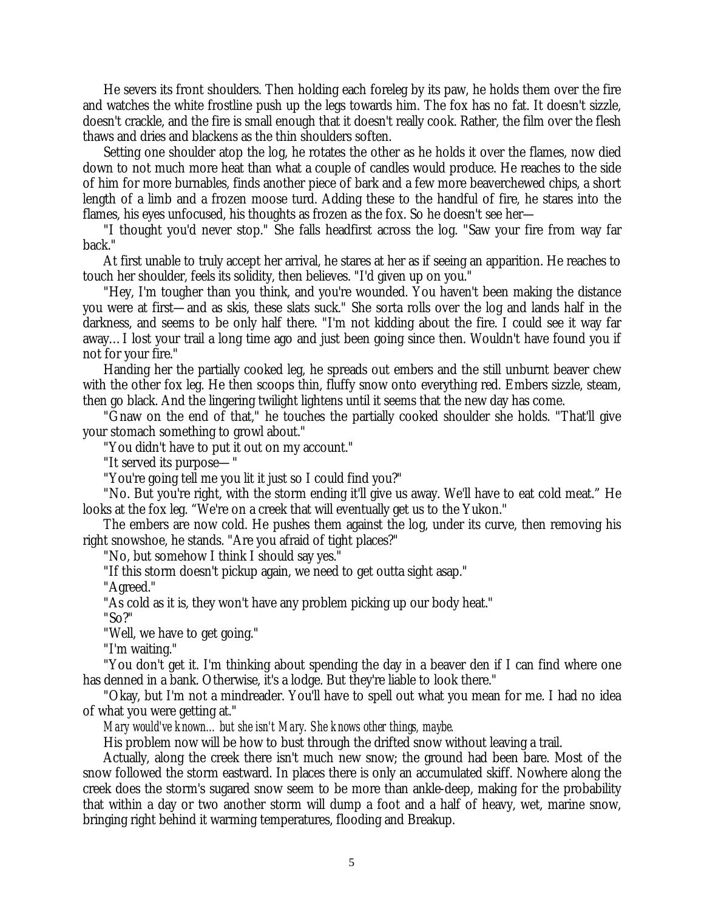He severs its front shoulders. Then holding each foreleg by its paw, he holds them over the fire and watches the white frostline push up the legs towards him. The fox has no fat. It doesn't sizzle, doesn't crackle, and the fire is small enough that it doesn't really cook. Rather, the film over the flesh thaws and dries and blackens as the thin shoulders soften.

Setting one shoulder atop the log, he rotates the other as he holds it over the flames, now died down to not much more heat than what a couple of candles would produce. He reaches to the side of him for more burnables, finds another piece of bark and a few more beaverchewed chips, a short length of a limb and a frozen moose turd. Adding these to the handful of fire, he stares into the flames, his eyes unfocused, his thoughts as frozen as the fox. So he doesn't see her—

"I thought you'd never stop." She falls headfirst across the log. "Saw your fire from way far back."

At first unable to truly accept her arrival, he stares at her as if seeing an apparition. He reaches to touch her shoulder, feels its solidity, then believes. "I'd given up on you."

"Hey, I'm tougher than you think, and you're wounded. You haven't been making the distance you were at first— and as skis, these slats suck." She sorta rolls over the log and lands half in the darkness, and seems to be only half there. "I'm not kidding about the fire. I could see it way far away… I lost your trail a long time ago and just been going since then. Wouldn't have found you if not for your fire."

Handing her the partially cooked leg, he spreads out embers and the still unburnt beaver chew with the other fox leg. He then scoops thin, fluffy snow onto everything red. Embers sizzle, steam, then go black. And the lingering twilight lightens until it seems that the new day has come.

"Gnaw on the end of that," he touches the partially cooked shoulder she holds. "That'll give your stomach something to growl about."

"You didn't have to put it out on my account."

"It served its purpose— "

"You're going tell me you lit it just so I could find you?"

"No. But you're right, with the storm ending it'll give us away. We'll have to eat cold meat." He looks at the fox leg. "We're on a creek that will eventually get us to the Yukon."

The embers are now cold. He pushes them against the log, under its curve, then removing his right snowshoe, he stands. "Are you afraid of tight places?"

"No, but somehow I think I should say yes."

"If this storm doesn't pickup again, we need to get outta sight asap."

"Agreed."

"As cold as it is, they won't have any problem picking up our body heat."

"So?"

"Well, we have to get going."

"I'm waiting."

"You don't get it. I'm thinking about spending the day in a beaver den if I can find where one has denned in a bank. Otherwise, it's a lodge. But they're liable to look there."

"Okay, but I'm not a mindreader. You'll have to spell out what you mean for me. I had no idea of what you were getting at."

*Mary would've known… but she isn't Mary. She knows other things, maybe.*

His problem now will be how to bust through the drifted snow without leaving a trail.

Actually, along the creek there isn't much new snow; the ground had been bare. Most of the snow followed the storm eastward. In places there is only an accumulated skiff. Nowhere along the creek does the storm's sugared snow seem to be more than ankle-deep, making for the probability that within a day or two another storm will dump a foot and a half of heavy, wet, marine snow, bringing right behind it warming temperatures, flooding and Breakup.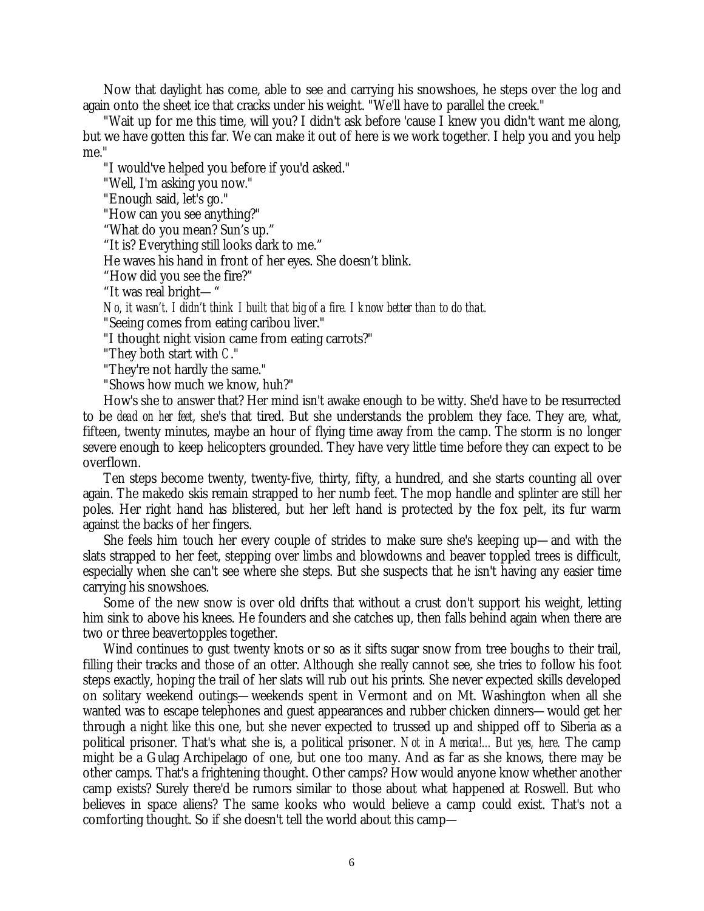Now that daylight has come, able to see and carrying his snowshoes, he steps over the log and again onto the sheet ice that cracks under his weight. "We'll have to parallel the creek."

"Wait up for me this time, will you? I didn't ask before 'cause I knew you didn't want me along, but we have gotten this far. We can make it out of here is we work together. I help you and you help me."

"I would've helped you before if you'd asked."

"Well, I'm asking you now."

"Enough said, let's go."

"How can you see anything?"

"What do you mean? Sun's up."

"It is? Everything still looks dark to me."

He waves his hand in front of her eyes. She doesn't blink.

"How did you see the fire?"

"It was real bright— "

*No, it wasn't. I didn't think I built that big of a fire. I know better than to do that.*

"Seeing comes from eating caribou liver."

"I thought night vision came from eating carrots?"

"They both start with *C*."

"They're not hardly the same."

"Shows how much we know, huh?"

How's she to answer that? Her mind isn't awake enough to be witty. She'd have to be resurrected to be *dead on her feet*, she's that tired. But she understands the problem they face. They are, what, fifteen, twenty minutes, maybe an hour of flying time away from the camp. The storm is no longer severe enough to keep helicopters grounded. They have very little time before they can expect to be overflown.

Ten steps become twenty, twenty-five, thirty, fifty, a hundred, and she starts counting all over again. The makedo skis remain strapped to her numb feet. The mop handle and splinter are still her poles. Her right hand has blistered, but her left hand is protected by the fox pelt, its fur warm against the backs of her fingers.

She feels him touch her every couple of strides to make sure she's keeping up— and with the slats strapped to her feet, stepping over limbs and blowdowns and beaver toppled trees is difficult, especially when she can't see where she steps. But she suspects that he isn't having any easier time carrying his snowshoes.

Some of the new snow is over old drifts that without a crust don't support his weight, letting him sink to above his knees. He founders and she catches up, then falls behind again when there are two or three beavertopples together.

Wind continues to gust twenty knots or so as it sifts sugar snow from tree boughs to their trail, filling their tracks and those of an otter. Although she really cannot see, she tries to follow his foot steps exactly, hoping the trail of her slats will rub out his prints. She never expected skills developed on solitary weekend outings— weekends spent in Vermont and on Mt. Washington when all she wanted was to escape telephones and guest appearances and rubber chicken dinners— would get her through a night like this one, but she never expected to trussed up and shipped off to Siberia as a political prisoner. That's what she is, a political prisoner. *Not in America!… But yes, here*. The camp might be a Gulag Archipelago of one, but one too many. And as far as she knows, there may be other camps. That's a frightening thought. Other camps? How would anyone know whether another camp exists? Surely there'd be rumors similar to those about what happened at Roswell. But who believes in space aliens? The same kooks who would believe a camp could exist. That's not a comforting thought. So if she doesn't tell the world about this camp—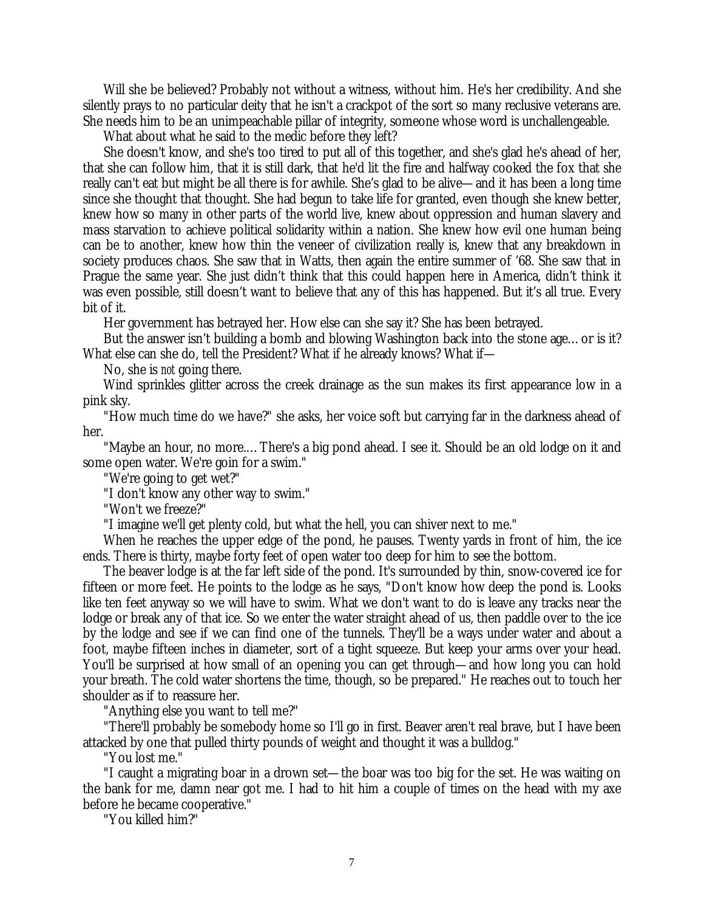Will she be believed? Probably not without a witness, without him. He's her credibility. And she silently prays to no particular deity that he isn't a crackpot of the sort so many reclusive veterans are. She needs him to be an unimpeachable pillar of integrity, someone whose word is unchallengeable.

What about what he said to the medic before they left?

She doesn't know, and she's too tired to put all of this together, and she's glad he's ahead of her, that she can follow him, that it is still dark, that he'd lit the fire and halfway cooked the fox that she really can't eat but might be all there is for awhile. She's glad to be alive— and it has been a long time since she thought that thought. She had begun to take life for granted, even though she knew better, knew how so many in other parts of the world live, knew about oppression and human slavery and mass starvation to achieve political solidarity within a nation. She knew how evil one human being can be to another, knew how thin the veneer of civilization really is, knew that any breakdown in society produces chaos. She saw that in Watts, then again the entire summer of '68. She saw that in Prague the same year. She just didn't think that this could happen here in America, didn't think it was even possible, still doesn't want to believe that any of this has happened. But it's all true. Every bit of it.

Her government has betrayed her. How else can she say it? She has been betrayed.

But the answer isn't building a bomb and blowing Washington back into the stone age… or is it? What else can she do, tell the President? What if he already knows? What if—

No, she is *not* going there.

Wind sprinkles glitter across the creek drainage as the sun makes its first appearance low in a pink sky.

"How much time do we have?" she asks, her voice soft but carrying far in the darkness ahead of her.

"Maybe an hour, no more.… There's a big pond ahead. I see it. Should be an old lodge on it and some open water. We're goin for a swim."

"We're going to get wet?"

"I don't know any other way to swim."

"Won't we freeze?"

"I imagine we'll get plenty cold, but what the hell, you can shiver next to me."

When he reaches the upper edge of the pond, he pauses. Twenty yards in front of him, the ice ends. There is thirty, maybe forty feet of open water too deep for him to see the bottom.

The beaver lodge is at the far left side of the pond. It's surrounded by thin, snow-covered ice for fifteen or more feet. He points to the lodge as he says, "Don't know how deep the pond is. Looks like ten feet anyway so we will have to swim. What we don't want to do is leave any tracks near the lodge or break any of that ice. So we enter the water straight ahead of us, then paddle over to the ice by the lodge and see if we can find one of the tunnels. They'll be a ways under water and about a foot, maybe fifteen inches in diameter, sort of a tight squeeze. But keep your arms over your head. You'll be surprised at how small of an opening you can get through— and how long you can hold your breath. The cold water shortens the time, though, so be prepared." He reaches out to touch her shoulder as if to reassure her.

"Anything else you want to tell me?"

"There'll probably be somebody home so I'll go in first. Beaver aren't real brave, but I have been attacked by one that pulled thirty pounds of weight and thought it was a bulldog."

"You lost me."

"I caught a migrating boar in a drown set— the boar was too big for the set. He was waiting on the bank for me, damn near got me. I had to hit him a couple of times on the head with my axe before he became cooperative."

"You killed him?"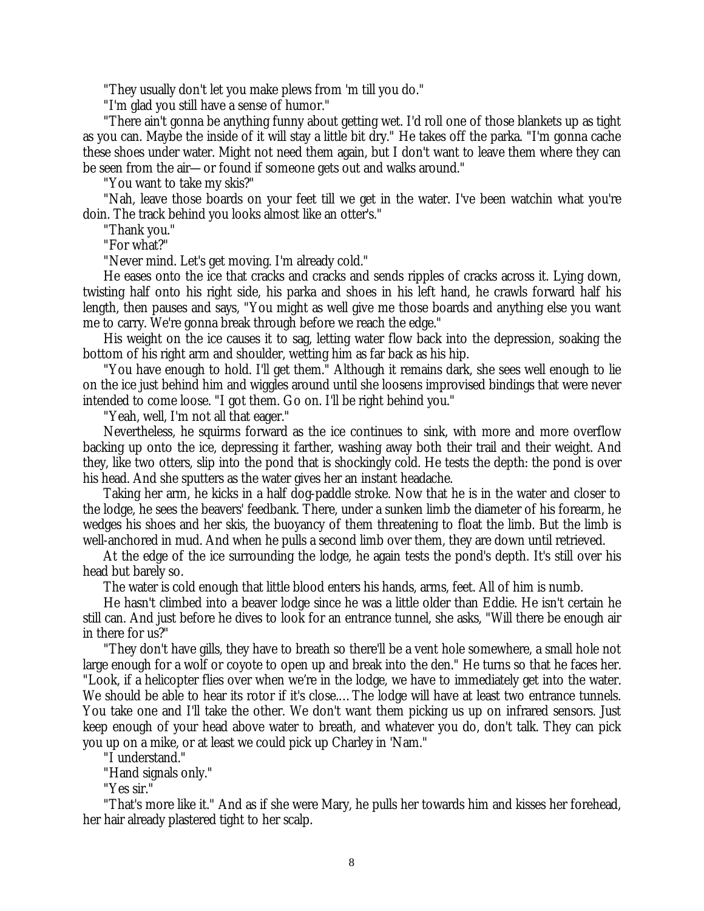"They usually don't let you make plews from 'm till you do."

"I'm glad you still have a sense of humor."

"There ain't gonna be anything funny about getting wet. I'd roll one of those blankets up as tight as you can. Maybe the inside of it will stay a little bit dry." He takes off the parka. "I'm gonna cache these shoes under water. Might not need them again, but I don't want to leave them where they can be seen from the air— or found if someone gets out and walks around."

"You want to take my skis?"

"Nah, leave those boards on your feet till we get in the water. I've been watchin what you're doin. The track behind you looks almost like an otter's."

"Thank you."

"For what?"

"Never mind. Let's get moving. I'm already cold."

He eases onto the ice that cracks and cracks and sends ripples of cracks across it. Lying down, twisting half onto his right side, his parka and shoes in his left hand, he crawls forward half his length, then pauses and says, "You might as well give me those boards and anything else you want me to carry. We're gonna break through before we reach the edge."

His weight on the ice causes it to sag, letting water flow back into the depression, soaking the bottom of his right arm and shoulder, wetting him as far back as his hip.

"You have enough to hold. I'll get them." Although it remains dark, she sees well enough to lie on the ice just behind him and wiggles around until she loosens improvised bindings that were never intended to come loose. "I got them. Go on. I'll be right behind you."

"Yeah, well, I'm not all that eager."

Nevertheless, he squirms forward as the ice continues to sink, with more and more overflow backing up onto the ice, depressing it farther, washing away both their trail and their weight. And they, like two otters, slip into the pond that is shockingly cold. He tests the depth: the pond is over his head. And she sputters as the water gives her an instant headache.

Taking her arm, he kicks in a half dog-paddle stroke. Now that he is in the water and closer to the lodge, he sees the beavers' feedbank. There, under a sunken limb the diameter of his forearm, he wedges his shoes and her skis, the buoyancy of them threatening to float the limb. But the limb is well-anchored in mud. And when he pulls a second limb over them, they are down until retrieved.

At the edge of the ice surrounding the lodge, he again tests the pond's depth. It's still over his head but barely so.

The water is cold enough that little blood enters his hands, arms, feet. All of him is numb.

He hasn't climbed into a beaver lodge since he was a little older than Eddie. He isn't certain he still can. And just before he dives to look for an entrance tunnel, she asks, "Will there be enough air in there for us?"

"They don't have gills, they have to breath so there'll be a vent hole somewhere, a small hole not large enough for a wolf or coyote to open up and break into the den." He turns so that he faces her. "Look, if a helicopter flies over when we're in the lodge, we have to immediately get into the water. We should be able to hear its rotor if it's close.… The lodge will have at least two entrance tunnels. You take one and I'll take the other. We don't want them picking us up on infrared sensors. Just keep enough of your head above water to breath, and whatever you do, don't talk. They can pick you up on a mike, or at least we could pick up Charley in 'Nam."

"I understand."

"Hand signals only."

"Yes sir."

"That's more like it." And as if she were Mary, he pulls her towards him and kisses her forehead, her hair already plastered tight to her scalp.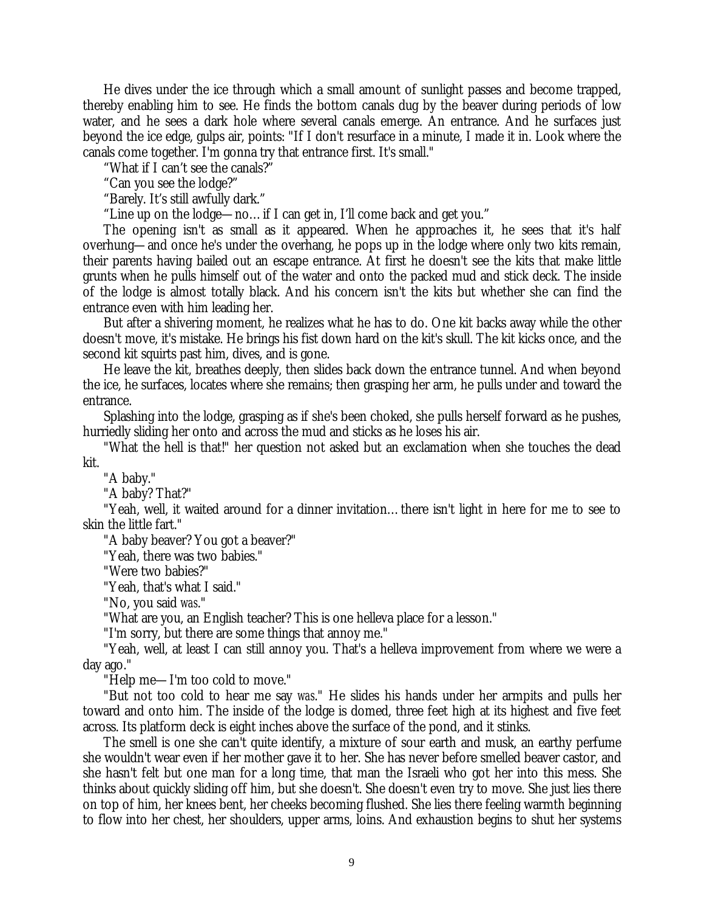He dives under the ice through which a small amount of sunlight passes and become trapped, thereby enabling him to see. He finds the bottom canals dug by the beaver during periods of low water, and he sees a dark hole where several canals emerge. An entrance. And he surfaces just beyond the ice edge, gulps air, points: "If I don't resurface in a minute, I made it in. Look where the canals come together. I'm gonna try that entrance first. It's small."

"What if I can't see the canals?"

"Can you see the lodge?"

"Barely. It's still awfully dark."

"Line up on the lodge— no… if I can get in, I'll come back and get you."

The opening isn't as small as it appeared. When he approaches it, he sees that it's half overhung— and once he's under the overhang, he pops up in the lodge where only two kits remain, their parents having bailed out an escape entrance. At first he doesn't see the kits that make little grunts when he pulls himself out of the water and onto the packed mud and stick deck. The inside of the lodge is almost totally black. And his concern isn't the kits but whether she can find the entrance even with him leading her.

But after a shivering moment, he realizes what he has to do. One kit backs away while the other doesn't move, it's mistake. He brings his fist down hard on the kit's skull. The kit kicks once, and the second kit squirts past him, dives, and is gone.

He leave the kit, breathes deeply, then slides back down the entrance tunnel. And when beyond the ice, he surfaces, locates where she remains; then grasping her arm, he pulls under and toward the entrance.

Splashing into the lodge, grasping as if she's been choked, she pulls herself forward as he pushes, hurriedly sliding her onto and across the mud and sticks as he loses his air.

"What the hell is that!" her question not asked but an exclamation when she touches the dead kit.

"A baby."

"A baby? That?"

"Yeah, well, it waited around for a dinner invitation… there isn't light in here for me to see to skin the little fart."

"A baby beaver? You got a beaver?"

"Yeah, there was two babies."

"Were two babies?"

"Yeah, that's what I said."

"No, you said *was*."

"What are you, an English teacher? This is one helleva place for a lesson."

"I'm sorry, but there are some things that annoy me."

"Yeah, well, at least I can still annoy you. That's a helleva improvement from where we were a day ago."

"Help me— I'm too cold to move."

"But not too cold to hear me say *was*." He slides his hands under her armpits and pulls her toward and onto him. The inside of the lodge is domed, three feet high at its highest and five feet across. Its platform deck is eight inches above the surface of the pond, and it stinks.

The smell is one she can't quite identify, a mixture of sour earth and musk, an earthy perfume she wouldn't wear even if her mother gave it to her. She has never before smelled beaver castor, and she hasn't felt but one man for a long time, that man the Israeli who got her into this mess. She thinks about quickly sliding off him, but she doesn't. She doesn't even try to move. She just lies there on top of him, her knees bent, her cheeks becoming flushed. She lies there feeling warmth beginning to flow into her chest, her shoulders, upper arms, loins. And exhaustion begins to shut her systems